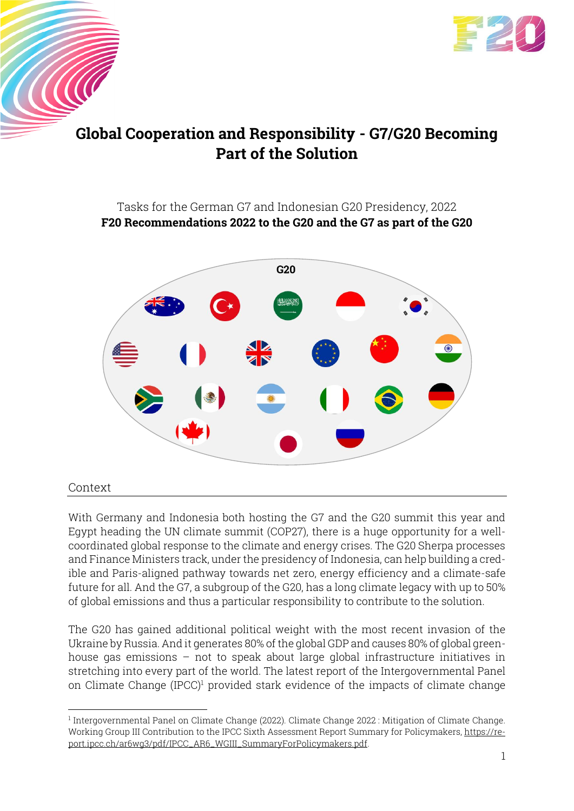

# **Global Cooperation and Responsibility - G7/G20 Becoming Part of the Solution**

## Tasks for the German G7 and Indonesian G20 Presidency, 2022 **F20 Recommendations 2022 to the G20 and the G7 as part of the G20**



### Context

 $\overline{\mathcal{U}}$ 

With Germany and Indonesia both hosting the G7 and the G20 summit this year and Egypt heading the UN climate summit (COP27), there is a huge opportunity for a wellcoordinated global response to the climate and energy crises. The G20 Sherpa processes and Finance Ministers track, under the presidency of Indonesia, can help building a credible and Paris-aligned pathway towards net zero, energy efficiency and a climate-safe future for all. And the G7, a subgroup of the G20, has a long climate legacy with up to 50% of global emissions and thus a particular responsibility to contribute to the solution.

The G20 has gained additional political weight with the most recent invasion of the Ukraine by Russia. And it generates 80% of the global GDP and causes 80% of global greenhouse gas emissions – not to speak about large global infrastructure initiatives in stretching into every part of the world. The latest report of the Intergovernmental Panel on Climate Change (IPCC)<sup>1</sup> provided stark evidence of the impacts of climate change

<sup>1</sup> Intergovernmental Panel on Climate Change (2022). Climate Change 2022 : Mitigation of Climate Change. Working Group III Contribution to the IPCC Sixth Assessment Report Summary for Policymakers, [https://re](https://report.ipcc.ch/ar6wg3/pdf/IPCC_AR6_WGIII_SummaryForPolicymakers.pdf)[port.ipcc.ch/ar6wg3/pdf/IPCC\\_AR6\\_WGIII\\_SummaryForPolicymakers.pdf.](https://report.ipcc.ch/ar6wg3/pdf/IPCC_AR6_WGIII_SummaryForPolicymakers.pdf)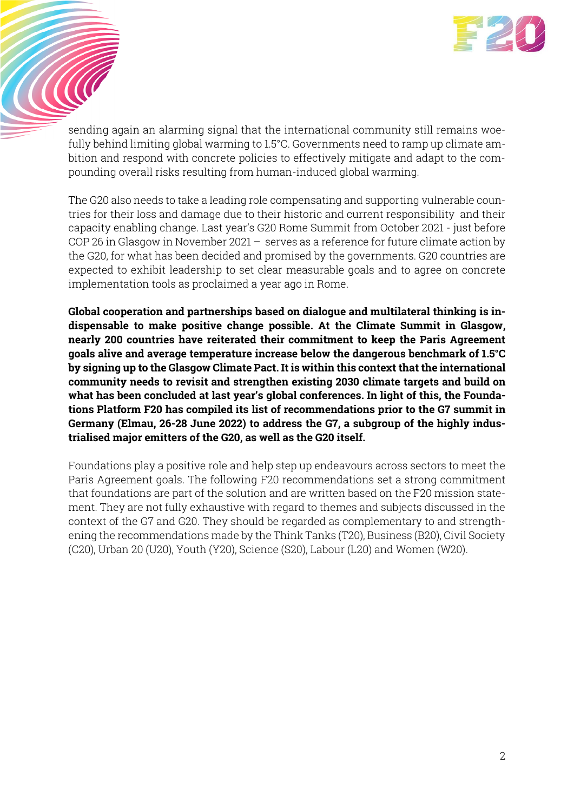

sending again an alarming signal that the international community still remains woefully behind limiting global warming to 1.5°C. Governments need to ramp up climate ambition and respond with concrete policies to effectively mitigate and adapt to the compounding overall risks resulting from human-induced global warming.

**COCO** 

The G20 also needs to take a leading role compensating and supporting vulnerable countries for their loss and damage due to their historic and current responsibility and their capacity enabling change. Last year's G20 Rome Summit from October 2021 - just before COP 26 in Glasgow in November 2021 – serves as a reference for future climate action by the G20, for what has been decided and promised by the governments. G20 countries are expected to exhibit leadership to set clear measurable goals and to agree on concrete implementation tools as proclaimed a year ago in Rome.

**Global cooperation and partnerships based on dialogue and multilateral thinking is indispensable to make positive change possible. At the Climate Summit in Glasgow, nearly 200 countries have reiterated their commitment to keep the Paris Agreement goals alive and average temperature increase below the dangerous benchmark of 1.5°C by signing up to the Glasgow Climate Pact. It is within this context that the international community needs to revisit and strengthen existing 2030 climate targets and build on what has been concluded at last year's global conferences. In light of this, the Foundations Platform F20 has compiled its list of recommendations prior to the G7 summit in Germany (Elmau, 26-28 June 2022) to address the G7, a subgroup of the highly industrialised major emitters of the G20, as well as the G20 itself.** 

Foundations play a positive role and help step up endeavours across sectors to meet the Paris Agreement goals. The following F20 recommendations set a strong commitment that foundations are part of the solution and are written based on the F20 mission statement. They are not fully exhaustive with regard to themes and subjects discussed in the context of the G7 and G20. They should be regarded as complementary to and strengthening the recommendations made by the Think Tanks (T20), Business (B20), Civil Society (C20), Urban 20 (U20), Youth (Y20), Science (S20), Labour (L20) and Women (W20).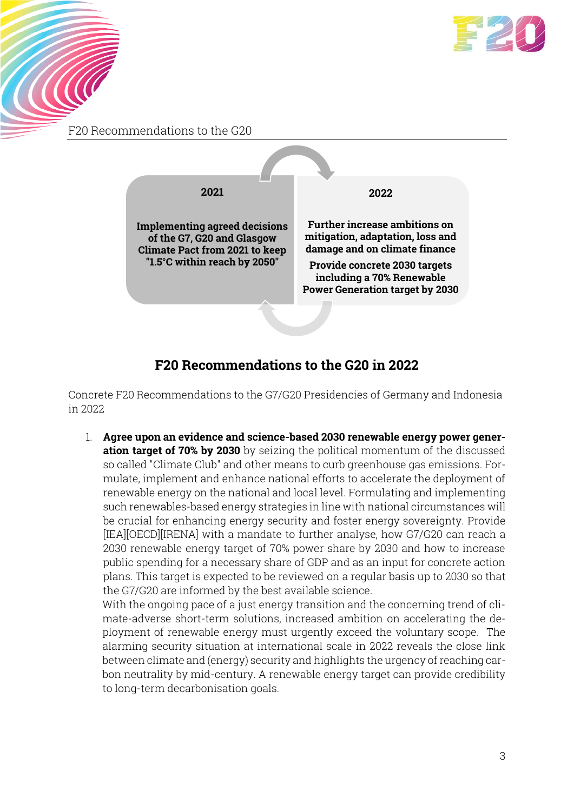

F20 Recommendations to the G20

 $\mathcal{C}(\mathcal{C})$ 



# **F20 Recommendations to the G20 in 2022**

Concrete F20 Recommendations to the G7/G20 Presidencies of Germany and Indonesia in 2022

1. **Agree upon an evidence and science-based 2030 renewable energy power generation target of 70% by 2030** by seizing the political momentum of the discussed so called "Climate Club" and other means to curb greenhouse gas emissions. Formulate, implement and enhance national efforts to accelerate the deployment of renewable energy on the national and local level. Formulating and implementing such renewables-based energy strategies in line with national circumstances will be crucial for enhancing energy security and foster energy sovereignty. Provide [IEA][OECD][IRENA] with a mandate to further analyse, how G7/G20 can reach a 2030 renewable energy target of 70% power share by 2030 and how to increase public spending for a necessary share of GDP and as an input for concrete action plans. This target is expected to be reviewed on a regular basis up to 2030 so that the G7/G20 are informed by the best available science.

With the ongoing pace of a just energy transition and the concerning trend of climate-adverse short-term solutions, increased ambition on accelerating the deployment of renewable energy must urgently exceed the voluntary scope. The alarming security situation at international scale in 2022 reveals the close link between climate and (energy) security and highlights the urgency of reaching carbon neutrality by mid-century. A renewable energy target can provide credibility to long-term decarbonisation goals.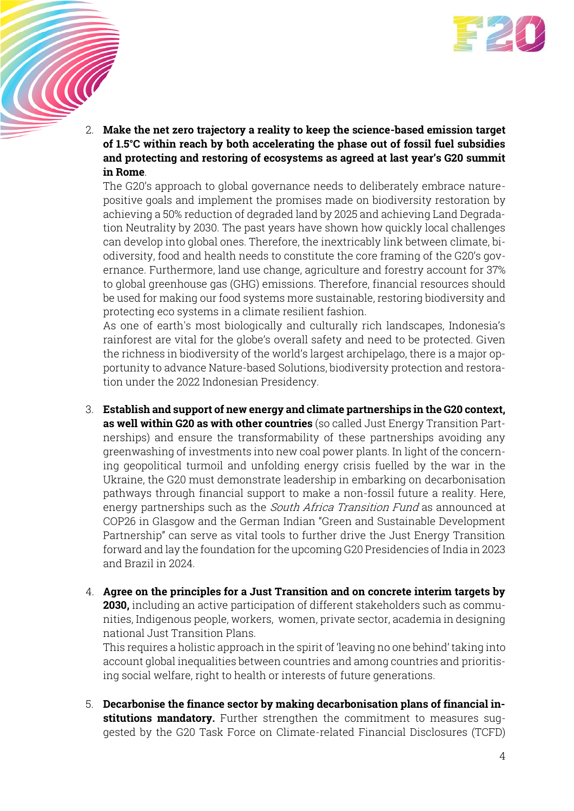

2. **Make the net zero trajectory a reality to keep the science-based emission target of 1.5°C within reach by both accelerating the phase out of fossil fuel subsidies and protecting and restoring of ecosystems as agreed at last year's G20 summit in Rome**.

**CONTROL** 

The G20's approach to global governance needs to deliberately embrace naturepositive goals and implement the promises made on biodiversity restoration by achieving a 50% reduction of degraded land by 2025 and achieving Land Degradation Neutrality by 2030. The past years have shown how quickly local challenges can develop into global ones. Therefore, the inextricably link between climate, biodiversity, food and health needs to constitute the core framing of the G20's governance. Furthermore, land use change, agriculture and forestry account for 37% to global greenhouse gas (GHG) emissions. Therefore, financial resources should be used for making our food systems more sustainable, restoring biodiversity and protecting eco systems in a climate resilient fashion.

As one of earth's most biologically and culturally rich landscapes, Indonesia's rainforest are vital for the globe's overall safety and need to be protected. Given the richness in biodiversity of the world's largest archipelago, there is a major opportunity to advance Nature-based Solutions, biodiversity protection and restoration under the 2022 Indonesian Presidency.

- 3. **Establish and support of new energy and climate partnerships in the G20 context, as well within G20 as with other countries** (so called Just Energy Transition Partnerships) and ensure the transformability of these partnerships avoiding any greenwashing of investments into new coal power plants. In light of the concerning geopolitical turmoil and unfolding energy crisis fuelled by the war in the Ukraine, the G20 must demonstrate leadership in embarking on decarbonisation pathways through financial support to make a non-fossil future a reality. Here, energy partnerships such as the *South Africa Transition Fund* as announced at COP26 in Glasgow and the German Indian "Green and Sustainable Development Partnership" can serve as vital tools to further drive the Just Energy Transition forward and lay the foundation for the upcoming G20 Presidencies of India in 2023 and Brazil in 2024.
- 4. **Agree on the principles for a Just Transition and on concrete interim targets by 2030,** including an active participation of different stakeholders such as communities, Indigenous people, workers, women, private sector, academia in designing national Just Transition Plans.

This requires a holistic approach in the spirit of 'leaving no one behind' taking into account global inequalities between countries and among countries and prioritising social welfare, right to health or interests of future generations.

5. **Decarbonise the finance sector by making decarbonisation plans of financial institutions mandatory.** Further strengthen the commitment to measures suggested by the G20 Task Force on Climate-related Financial Disclosures (TCFD)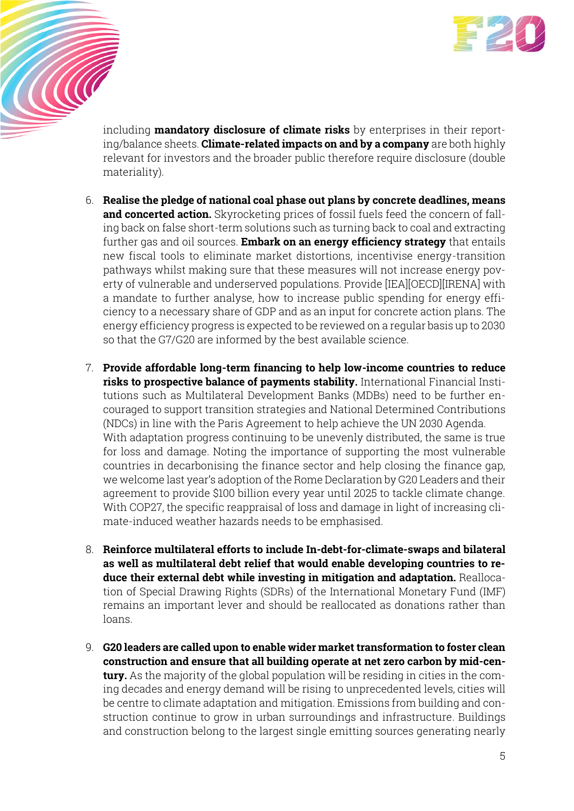

including **mandatory disclosure of climate risks** by enterprises in their reporting/balance sheets. **Climate-related impacts on and by a company** are both highly relevant for investors and the broader public therefore require disclosure (double materiality).

**CONTROL** 

- 6. **Realise the pledge of national coal phase out plans by concrete deadlines, means and concerted action.** Skyrocketing prices of fossil fuels feed the concern of falling back on false short-term solutions such as turning back to coal and extracting further gas and oil sources. **Embark on an energy efficiency strategy** that entails new fiscal tools to eliminate market distortions, incentivise energy-transition pathways whilst making sure that these measures will not increase energy poverty of vulnerable and underserved populations. Provide [IEA][OECD][IRENA] with a mandate to further analyse, how to increase public spending for energy efficiency to a necessary share of GDP and as an input for concrete action plans. The energy efficiency progress is expected to be reviewed on a regular basis up to 2030 so that the G7/G20 are informed by the best available science.
- 7. **Provide affordable long-term financing to help low-income countries to reduce risks to prospective balance of payments stability.** International Financial Institutions such as Multilateral Development Banks (MDBs) need to be further encouraged to support transition strategies and National Determined Contributions (NDCs) in line with the Paris Agreement to help achieve the UN 2030 Agenda. With adaptation progress continuing to be unevenly distributed, the same is true for loss and damage. Noting the importance of supporting the most vulnerable countries in decarbonising the finance sector and help closing the finance gap, we welcome last year's adoption of the Rome Declaration by G20 Leaders and their agreement to provide \$100 billion every year until 2025 to tackle climate change. With COP27, the specific reappraisal of loss and damage in light of increasing climate-induced weather hazards needs to be emphasised.
- 8. **Reinforce multilateral efforts to include In-debt-for-climate-swaps and bilateral as well as multilateral debt relief that would enable developing countries to reduce their external debt while investing in mitigation and adaptation.** Reallocation of Special Drawing Rights (SDRs) of the International Monetary Fund (IMF) remains an important lever and should be reallocated as donations rather than loans.
- 9. **G20 leaders are called upon to enable wider market transformation to foster clean construction and ensure that all building operate at net zero carbon by mid-century.** As the majority of the global population will be residing in cities in the coming decades and energy demand will be rising to unprecedented levels, cities will be centre to climate adaptation and mitigation. Emissions from building and construction continue to grow in urban surroundings and infrastructure. Buildings and construction belong to the largest single emitting sources generating nearly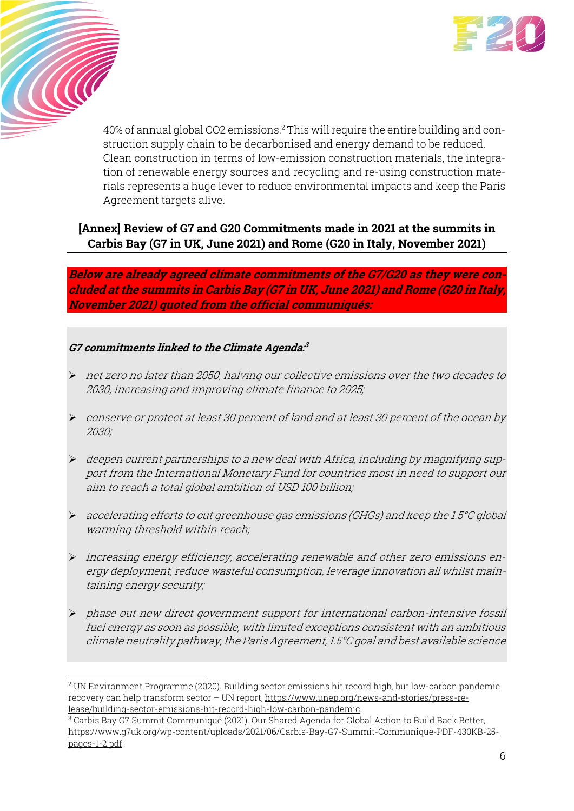

40% of annual global CO2 emissions.<sup>2</sup> This will require the entire building and construction supply chain to be decarbonised and energy demand to be reduced. Clean construction in terms of low-emission construction materials, the integration of renewable energy sources and recycling and re-using construction materials represents a huge lever to reduce environmental impacts and keep the Paris Agreement targets alive.

## **[Annex] Review of G7 and G20 Commitments made in 2021 at the summits in Carbis Bay (G7 in UK, June 2021) and Rome (G20 in Italy, November 2021)**

**Below are already agreed climate commitments of the G7/G20 as they were concluded at the summits in Carbis Bay (G7 in UK, June 2021) and Rome (G20 in Italy, November 2021) quoted from the official communiqués:** 

### **G7 commitments linked to the Climate Agenda: 3**

**CONTROL** 

- ➢ net zero no later than 2050, halving our collective emissions over the two decades to 2030, increasing and improving climate finance to 2025;
- ➢ conserve or protect at least 30 percent of land and at least 30 percent of the ocean by 2030;
- $\triangleright$  deepen current partnerships to a new deal with Africa, including by magnifying support from the International Monetary Fund for countries most in need to support our aim to reach a total global ambition of USD 100 billion;
- ➢ accelerating efforts to cut greenhouse gas emissions (GHGs) and keep the 1.5°C global warming threshold within reach;
- ➢ increasing energy efficiency, accelerating renewable and other zero emissions energy deployment, reduce wasteful consumption, leverage innovation all whilst maintaining energy security;
- ➢ phase out new direct government support for international carbon-intensive fossil fuel energy as soon as possible, with limited exceptions consistent with an ambitious climate neutrality pathway, the Paris Agreement, 1.5°C goal and best available science

<sup>2</sup> UN Environment Programme (2020). Building sector emissions hit record high, but low-carbon pandemic recovery can help transform sector – UN report, [https://www.unep.org/news-and-stories/press-re](https://www.unep.org/news-and-stories/press-release/building-sector-emissions-hit-record-high-low-carbon-pandemic)[lease/building-sector-emissions-hit-record-high-low-carbon-pandemic.](https://www.unep.org/news-and-stories/press-release/building-sector-emissions-hit-record-high-low-carbon-pandemic)

<sup>3</sup> Carbis Bay G7 Summit Communiqué (2021). Our Shared Agenda for Global Action to Build Back Better, [https://www.g7uk.org/wp-content/uploads/2021/06/Carbis-Bay-G7-Summit-Communique-PDF-430KB-25](https://www.g7uk.org/wp-content/uploads/2021/06/Carbis-Bay-G7-Summit-Communique-PDF-430KB-25-pages-1-2.pdf) [pages-1-2.pdf](https://www.g7uk.org/wp-content/uploads/2021/06/Carbis-Bay-G7-Summit-Communique-PDF-430KB-25-pages-1-2.pdf).